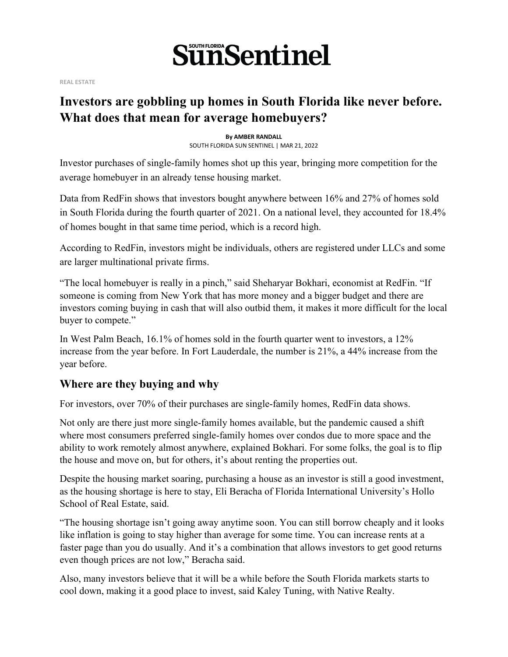

**REAL ESTATE**

### **Investors are gobbling up homes in South Florida like never before. What does that mean for average homebuyers?**

**By AMBER RANDALL** SOUTH FLORIDA SUN SENTINEL | MAR 21, 2022

Investor purchases of single-family homes shot up this year, bringing more competition for the average homebuyer in an already tense housing market.

Data from RedFin shows that investors bought anywhere between 16% and 27% of homes sold in South Florida during the fourth quarter of 2021. On a national level, they accounted for 18.4% of homes bought in that same time period, which is a record high.

According to RedFin, investors might be individuals, others are registered under LLCs and some are larger multinational private firms.

"The local homebuyer is really in a pinch," said Sheharyar Bokhari, economist at RedFin. "If someone is coming from New York that has more money and a bigger budget and there are investors coming buying in cash that will also outbid them, it makes it more difficult for the local buyer to compete."

In West Palm Beach, 16.1% of homes sold in the fourth quarter went to investors, a 12% increase from the year before. In Fort Lauderdale, the number is 21%, a 44% increase from the year before.

#### **Where are they buying and why**

For investors, over 70% of their purchases are single-family homes, RedFin data shows.

Not only are there just more single-family homes available, but the pandemic caused a shift where most consumers preferred single-family homes over condos due to more space and the ability to work remotely almost anywhere, explained Bokhari. For some folks, the goal is to flip the house and move on, but for others, it's about renting the properties out.

Despite the housing market soaring, purchasing a house as an investor is still a good investment, as the housing shortage is here to stay, Eli Beracha of Florida International University's Hollo School of Real Estate, said.

"The housing shortage isn't going away anytime soon. You can still borrow cheaply and it looks like inflation is going to stay higher than average for some time. You can increase rents at a faster page than you do usually. And it's a combination that allows investors to get good returns even though prices are not low," Beracha said.

Also, many investors believe that it will be a while before the South Florida markets starts to cool down, making it a good place to invest, said Kaley Tuning, with Native Realty.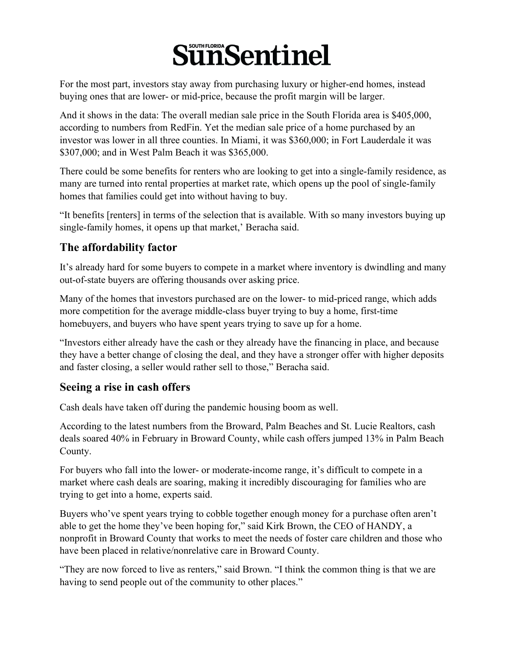# **SünSentinel**

For the most part, investors stay away from purchasing luxury or higher-end homes, instead buying ones that are lower- or mid-price, because the profit margin will be larger.

And it shows in the data: The overall median sale price in the South Florida area is \$405,000, according to numbers from RedFin. Yet the median sale price of a home purchased by an investor was lower in all three counties. In Miami, it was \$360,000; in Fort Lauderdale it was \$307,000; and in West Palm Beach it was \$365,000.

There could be some benefits for renters who are looking to get into a single-family residence, as many are turned into rental properties at market rate, which opens up the pool of single-family homes that families could get into without having to buy.

"It benefits [renters] in terms of the selection that is available. With so many investors buying up single-family homes, it opens up that market,' Beracha said.

### **The affordability factor**

It's already hard for some buyers to compete in a market where inventory is dwindling and many out-of-state buyers are offering thousands over asking price.

Many of the homes that investors purchased are on the lower- to mid-priced range, which adds more competition for the average middle-class buyer trying to buy a home, first-time homebuyers, and buyers who have spent years trying to save up for a home.

"Investors either already have the cash or they already have the financing in place, and because they have a better change of closing the deal, and they have a stronger offer with higher deposits and faster closing, a seller would rather sell to those," Beracha said.

#### **Seeing a rise in cash offers**

Cash deals have taken off during the pandemic housing boom as well.

According to the latest numbers from the Broward, Palm Beaches and St. Lucie Realtors, cash deals soared 40% in February in Broward County, while cash offers jumped 13% in Palm Beach County.

For buyers who fall into the lower- or moderate-income range, it's difficult to compete in a market where cash deals are soaring, making it incredibly discouraging for families who are trying to get into a home, experts said.

Buyers who've spent years trying to cobble together enough money for a purchase often aren't able to get the home they've been hoping for," said Kirk Brown, the CEO of HANDY, a nonprofit in Broward County that works to meet the needs of foster care children and those who have been placed in relative/nonrelative care in Broward County.

"They are now forced to live as renters," said Brown. "I think the common thing is that we are having to send people out of the community to other places."